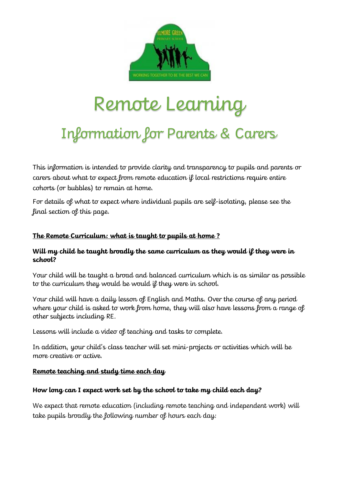

# Remote Learning

# Information for Parents & Carers

This information is intended to provide clarity and transparency to pupils and parents or carers about what to expect from remote education if local restrictions require entire cohorts (or bubbles) to remain at home.

For details of what to expect where individual pupils are self-isolating, please see the final section of this page.

#### **The Remote Curriculum: what is taught to pupils at home ?**

#### **Will my child be taught broadly the same curriculum as they would if they were in school?**

Your child will be taught a broad and balanced curriculum which is as similar as possible to the curriculum they would be would if they were in school.

Your child will have a daily lesson of English and Maths. Over the course of any period where your child is asked to work from home, they will also have lessons from a range of other subjects including RE.

Lessons will include a video of teaching and tasks to complete.

In addition, your child's class teacher will set mini-projects or activities which will be more creative or active.

#### **Remote teaching and study time each day**

#### **How long can I expect work set by the school to take my child each day?**

We expect that remote education (including remote teaching and independent work) will take pupils broadly the following number of hours each day: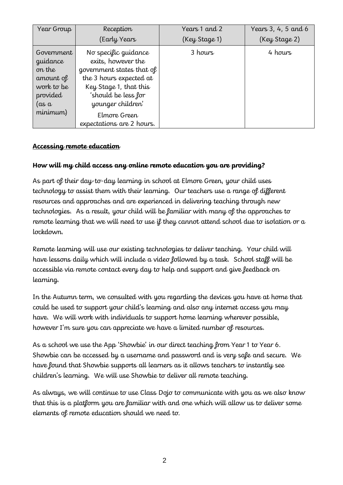| Year Group                                                                                                        | Reception                                                                                                                                                                                                             | Years 1 and 2 | Years 3, 4, 5 and 6 |
|-------------------------------------------------------------------------------------------------------------------|-----------------------------------------------------------------------------------------------------------------------------------------------------------------------------------------------------------------------|---------------|---------------------|
|                                                                                                                   | (Early Years                                                                                                                                                                                                          | (Key Stage 1) | (Key Stage 2)       |
| Government<br>guidance<br>on the<br>amount of<br>work to be<br>provided<br>$\int \alpha s \, d\alpha$<br>minimum) | No specific guidance<br>exits, however the<br>government states that of<br>the 3 hours expected at<br>Key Stage 1, that this<br>'should be less for<br>younger children'<br>Elmore Green<br>expectations are 2 hours. | 3 hours       | 4 hours             |

#### **Accessing remote education**

#### **How will my child access any online remote education you are providing?**

As part of their day-to-day learning in school at Elmore Green, your child uses technology to assist them with their learning. Our teachers use a range of different resources and approaches and are experienced in delivering teaching through new technologies. As a result, your child will be familiar with many of the approaches to remote learning that we will need to use if they cannot attend school due to isolation or a lockdown.

Remote learning will use our existing technologies to deliver teaching. Your child will have lessons daily which will include a video followed by a task. School staff will be accessible via remote contact every day to help and support and give feedback on learning.

In the Autumn term, we consulted with you regarding the devices you have at home that could be used to support your child's learning and also any internet access you may have. We will work with individuals to support home learning wherever possible, however I'm sure you can appreciate we have a limited number of resources.

As a school we use the App 'Showbie' in our direct teaching from Year 1 to Year 6. Showbie can be accessed by a username and password and is very safe and secure. We have found that Showbie supports all learners as it allows teachers to instantly see children's learning. We will use Showbie to deliver all remote teaching.

As always, we will continue to use Class Dojo to communicate with you as we also know that this is a platform you are familiar with and one which will allow us to deliver some elements of remote education should we need to.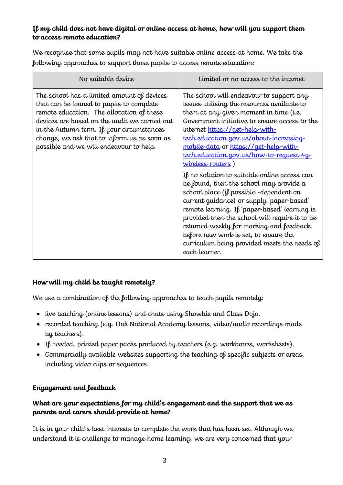#### **If my child does not have digital or online access at home, how will you support them to access remote education?**

We recognise that some pupils may not have suitable online access at home. We take the following approaches to support those pupils to access remote education:

| No suitable device                                                                                                                                                                                                                                                                                                          | Limited or no access to the internet                                                                                                                                                                                                                                                                                                                                                                                                                                                                                                                                                                                                                                                                                                                                                                                          |
|-----------------------------------------------------------------------------------------------------------------------------------------------------------------------------------------------------------------------------------------------------------------------------------------------------------------------------|-------------------------------------------------------------------------------------------------------------------------------------------------------------------------------------------------------------------------------------------------------------------------------------------------------------------------------------------------------------------------------------------------------------------------------------------------------------------------------------------------------------------------------------------------------------------------------------------------------------------------------------------------------------------------------------------------------------------------------------------------------------------------------------------------------------------------------|
| The school has a limited amount of devices<br>that can be loaned to pupils to complete<br>remote education. The allocation of these<br>devices are based on the audit we carried out<br>in the Autumn term. If your circumstances<br>change, we ask that to inform us as soon as<br>possible and we will endeavour to help. | The school will endeavour to support any<br>issues utilising the resources available to<br>them at any given moment in time (i.e.<br>Government initiative to ensure access to the<br>internet https://get-help-with-<br><u>tech.education.gov.uk/about-increasing-</u><br>mobile-data or https://get-help-with-<br>tech.education.gov.uk/how-to-request-4g<br>wireless-routers)<br>If no solution to suitable online access can<br>be found, then the school may provide a<br>school place (if possible -dependent on<br>current guidance) or supply 'paper-based'<br>remote learning. If 'paper-based' learning is<br>provided then the school will require it to be<br>returned weekly for marking and feedback,<br>before new work is set, to ensure the<br>curriculum being provided meets the needs of<br>each learner. |

# **How will my child be taught remotely?**

We use a combination of the following approaches to teach pupils remotely:

- live teaching (online lessons) and chats using Showbie and Class Dojo.
- recorded teaching (e.g. Oak National Academy lessons, video/audio recordings made by teachers).
- If needed, printed paper packs produced by teachers (e.g. workbooks, worksheets).
- Commercially available websites supporting the teaching of specific subjects or areas, including video clips or sequences.

# **Engagement and feedback**

#### **What are your expectations for my child's engagement and the support that we as parents and carers should provide at home?**

It is in your child's best interests to complete the work that has been set. Although we understand it is challenge to manage home learning, we are very concerned that your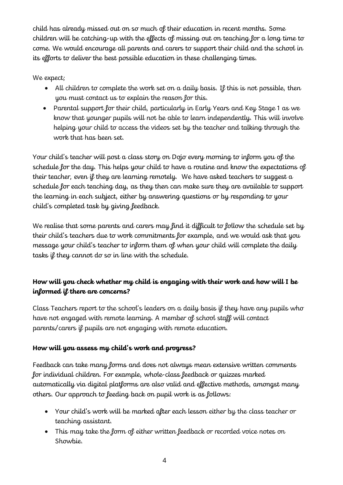child has already missed out on so much of their education in recent months. Some children will be catching-up with the effects of missing out on teaching for a long time to come. We would encourage all parents and carers to support their child and the school in its efforts to deliver the best possible education in these challenging times.

We expect;

- All children to complete the work set on a daily basis. If this is not possible, then you must contact us to explain the reason for this.
- Parental support for their child, particularly in Early Years and Key Stage 1 as we know that younger pupils will not be able to learn independently. This will involve helping your child to access the videos set by the teacher and talking through the work that has been set.

Your child's teacher will post a class story on Dojo every morning to inform you of the schedule for the day. This helps your child to have a routine and know the expectations of their teacher, even if they are learning remotely. We have asked teachers to suggest a schedule for each teaching day, as they then can make sure they are available to support the learning in each subject, either by answering questions or by responding to your child's completed task by giving feedback.

We realise that some parents and carers may find it difficult to follow the schedule set by their child's teachers due to work commitments for example, and we would ask that you message your child's teacher to inform them of when your child will complete the daily tasks if they cannot do so in line with the schedule.

# **How will you check whether my child is engaging with their work and how will I be informed if there are concerns?**

Class Teachers report to the school's leaders on a daily basis if they have any pupils who have not engaged with remote learning. A member of school staff will contact parents/carers if pupils are not engaging with remote education.

# **How will you assess my child's work and progress?**

Feedback can take many forms and does not always mean extensive written comments for individual children. For example, whole-class feedback or quizzes marked automatically via digital platforms are also valid and effective methods, amongst many others. Our approach to feeding back on pupil work is as follows:

- Your child's work will be marked after each lesson either by the class teacher or teaching assistant.
- This may take the form of either written feedback or recorded voice notes on Showbie.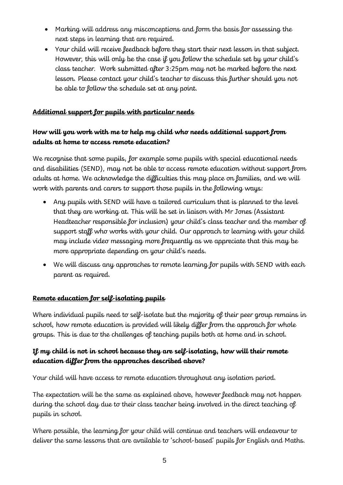- Marking will address any misconceptions and form the basis for assessing the next steps in learning that are required.
- Your child will receive feedback before they start their next lesson in that subject. However, this will only be the case if you follow the schedule set by your child's class teacher. Work submitted after 3:25pm may not be marked before the next lesson. Please contact your child's teacher to discuss this further should you not be able to follow the schedule set at any point.

# **Additional support for pupils with particular needs**

# **How will you work with me to help my child who needs additional support from adults at home to access remote education?**

We recognise that some pupils, for example some pupils with special educational needs and disabilities (SEND), may not be able to access remote education without support from adults at home. We acknowledge the difficulties this may place on families, and we will work with parents and carers to support those pupils in the following ways:

- Any pupils with SEND will have a tailored curriculum that is planned to the level that they are working at. This will be set in liaison with Mr Jones (Assistant Headteacher responsible for inclusion) your child's class teacher and the member of support staff who works with your child. Our approach to learning with your child may include video messaging more frequently as we appreciate that this may be more appropriate depending on your child's needs.
- We will discuss any approaches to remote learning for pupils with SEND with each parent as required.

#### **Remote education for self-isolating pupils**

Where individual pupils need to self-isolate but the majority of their peer group remains in school, how remote education is provided will likely differ from the approach for whole groups. This is due to the challenges of teaching pupils both at home and in school.

# **If my child is not in school because they are self-isolating, how will their remote education differ from the approaches described above?**

Your child will have access to remote education throughout any isolation period.

The expectation will be the same as explained above, however feedback may not happen during the school day due to their class teacher being involved in the direct teaching of pupils in school.

Where possible, the learning for your child will continue and teachers will endeavour to deliver the same lessons that are available to 'school-based' pupils for English and Maths.